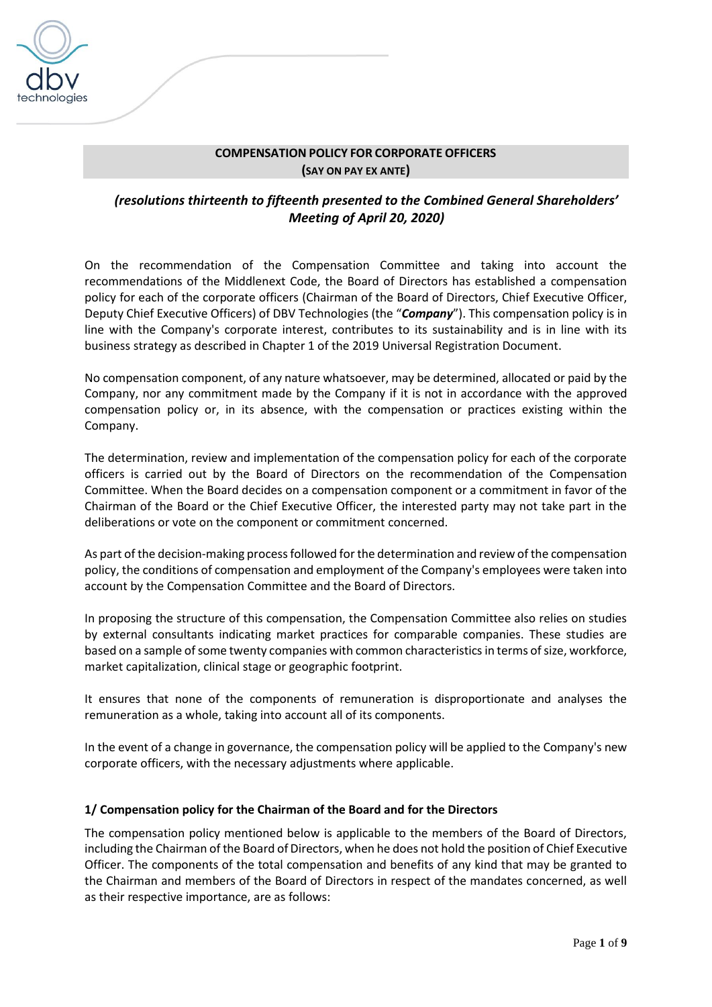

## **COMPENSATION POLICY FOR CORPORATE OFFICERS (SAY ON PAY EX ANTE)**

## *(resolutions thirteenth to fifteenth presented to the Combined General Shareholders' Meeting of April 20, 2020)*

On the recommendation of the Compensation Committee and taking into account the recommendations of the Middlenext Code, the Board of Directors has established a compensation policy for each of the corporate officers (Chairman of the Board of Directors, Chief Executive Officer, Deputy Chief Executive Officers) of DBV Technologies (the "*Company*"). This compensation policy is in line with the Company's corporate interest, contributes to its sustainability and is in line with its business strategy as described in Chapter 1 of the 2019 Universal Registration Document.

No compensation component, of any nature whatsoever, may be determined, allocated or paid by the Company, nor any commitment made by the Company if it is not in accordance with the approved compensation policy or, in its absence, with the compensation or practices existing within the Company.

The determination, review and implementation of the compensation policy for each of the corporate officers is carried out by the Board of Directors on the recommendation of the Compensation Committee. When the Board decides on a compensation component or a commitment in favor of the Chairman of the Board or the Chief Executive Officer, the interested party may not take part in the deliberations or vote on the component or commitment concerned.

As part of the decision-making process followed for the determination and review of the compensation policy, the conditions of compensation and employment of the Company's employees were taken into account by the Compensation Committee and the Board of Directors.

In proposing the structure of this compensation, the Compensation Committee also relies on studies by external consultants indicating market practices for comparable companies. These studies are based on a sample of some twenty companies with common characteristics in terms of size, workforce, market capitalization, clinical stage or geographic footprint.

It ensures that none of the components of remuneration is disproportionate and analyses the remuneration as a whole, taking into account all of its components.

In the event of a change in governance, the compensation policy will be applied to the Company's new corporate officers, with the necessary adjustments where applicable.

#### **1/ Compensation policy for the Chairman of the Board and for the Directors**

The compensation policy mentioned below is applicable to the members of the Board of Directors, including the Chairman of the Board of Directors, when he does not hold the position of Chief Executive Officer. The components of the total compensation and benefits of any kind that may be granted to the Chairman and members of the Board of Directors in respect of the mandates concerned, as well as their respective importance, are as follows: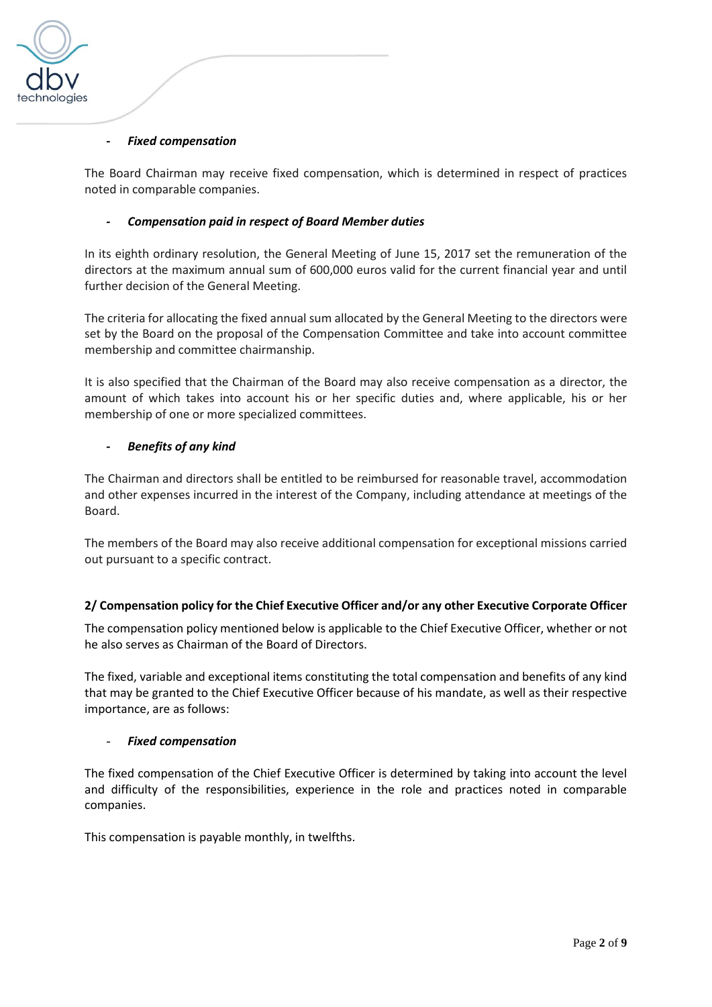

#### *- Fixed compensation*

The Board Chairman may receive fixed compensation, which is determined in respect of practices noted in comparable companies.

#### *- Compensation paid in respect of Board Member duties*

In its eighth ordinary resolution, the General Meeting of June 15, 2017 set the remuneration of the directors at the maximum annual sum of 600,000 euros valid for the current financial year and until further decision of the General Meeting.

The criteria for allocating the fixed annual sum allocated by the General Meeting to the directors were set by the Board on the proposal of the Compensation Committee and take into account committee membership and committee chairmanship.

It is also specified that the Chairman of the Board may also receive compensation as a director, the amount of which takes into account his or her specific duties and, where applicable, his or her membership of one or more specialized committees.

#### *- Benefits of any kind*

The Chairman and directors shall be entitled to be reimbursed for reasonable travel, accommodation and other expenses incurred in the interest of the Company, including attendance at meetings of the Board.

The members of the Board may also receive additional compensation for exceptional missions carried out pursuant to a specific contract.

#### **2/ Compensation policy for the Chief Executive Officer and/or any other Executive Corporate Officer**

The compensation policy mentioned below is applicable to the Chief Executive Officer, whether or not he also serves as Chairman of the Board of Directors.

The fixed, variable and exceptional items constituting the total compensation and benefits of any kind that may be granted to the Chief Executive Officer because of his mandate, as well as their respective importance, are as follows:

#### - *Fixed compensation*

The fixed compensation of the Chief Executive Officer is determined by taking into account the level and difficulty of the responsibilities, experience in the role and practices noted in comparable companies.

This compensation is payable monthly, in twelfths.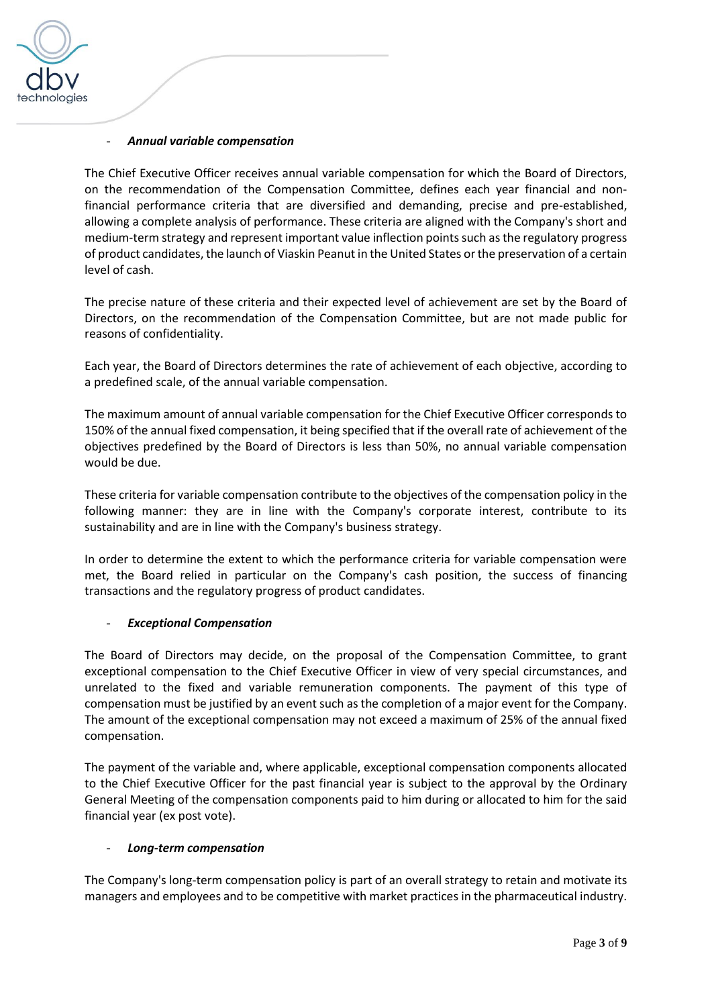

#### - *Annual variable compensation*

The Chief Executive Officer receives annual variable compensation for which the Board of Directors, on the recommendation of the Compensation Committee, defines each year financial and nonfinancial performance criteria that are diversified and demanding, precise and pre-established, allowing a complete analysis of performance. These criteria are aligned with the Company's short and medium-term strategy and represent important value inflection points such as the regulatory progress of product candidates, the launch of Viaskin Peanut in the United States or the preservation of a certain level of cash.

The precise nature of these criteria and their expected level of achievement are set by the Board of Directors, on the recommendation of the Compensation Committee, but are not made public for reasons of confidentiality.

Each year, the Board of Directors determines the rate of achievement of each objective, according to a predefined scale, of the annual variable compensation.

The maximum amount of annual variable compensation for the Chief Executive Officer corresponds to 150% of the annual fixed compensation, it being specified that if the overall rate of achievement of the objectives predefined by the Board of Directors is less than 50%, no annual variable compensation would be due.

These criteria for variable compensation contribute to the objectives of the compensation policy in the following manner: they are in line with the Company's corporate interest, contribute to its sustainability and are in line with the Company's business strategy.

In order to determine the extent to which the performance criteria for variable compensation were met, the Board relied in particular on the Company's cash position, the success of financing transactions and the regulatory progress of product candidates.

#### - *Exceptional Compensation*

The Board of Directors may decide, on the proposal of the Compensation Committee, to grant exceptional compensation to the Chief Executive Officer in view of very special circumstances, and unrelated to the fixed and variable remuneration components. The payment of this type of compensation must be justified by an event such as the completion of a major event for the Company. The amount of the exceptional compensation may not exceed a maximum of 25% of the annual fixed compensation.

The payment of the variable and, where applicable, exceptional compensation components allocated to the Chief Executive Officer for the past financial year is subject to the approval by the Ordinary General Meeting of the compensation components paid to him during or allocated to him for the said financial year (ex post vote).

#### - *Long-term compensation*

The Company's long-term compensation policy is part of an overall strategy to retain and motivate its managers and employees and to be competitive with market practices in the pharmaceutical industry.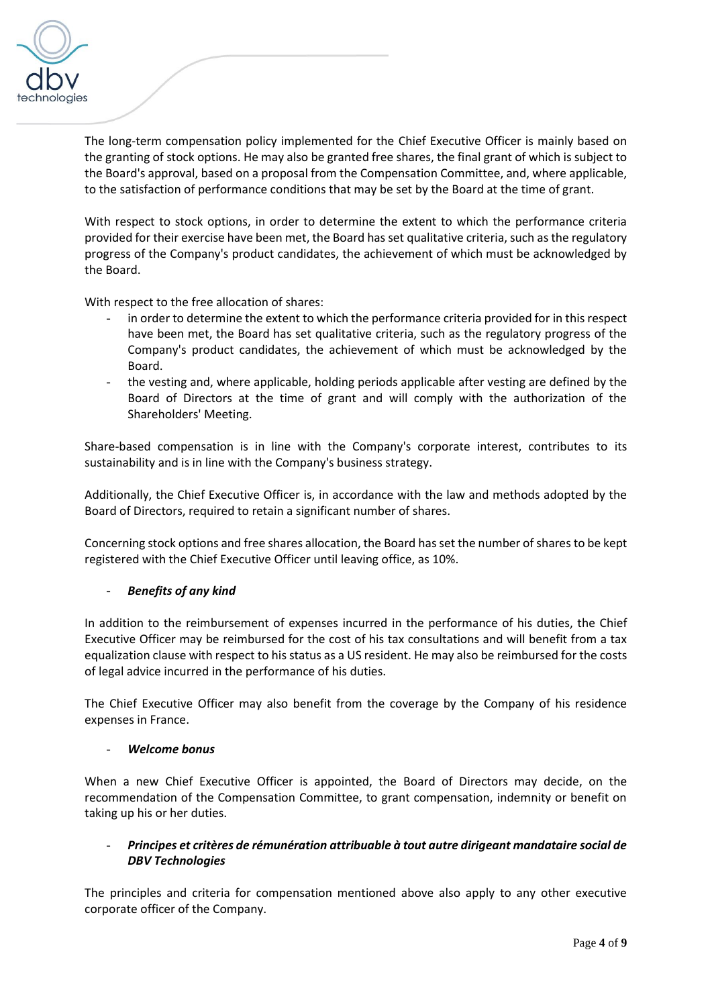

The long-term compensation policy implemented for the Chief Executive Officer is mainly based on the granting of stock options. He may also be granted free shares, the final grant of which is subject to the Board's approval, based on a proposal from the Compensation Committee, and, where applicable, to the satisfaction of performance conditions that may be set by the Board at the time of grant.

With respect to stock options, in order to determine the extent to which the performance criteria provided for their exercise have been met, the Board has set qualitative criteria, such as the regulatory progress of the Company's product candidates, the achievement of which must be acknowledged by the Board.

With respect to the free allocation of shares:

- in order to determine the extent to which the performance criteria provided for in this respect have been met, the Board has set qualitative criteria, such as the regulatory progress of the Company's product candidates, the achievement of which must be acknowledged by the Board.
- the vesting and, where applicable, holding periods applicable after vesting are defined by the Board of Directors at the time of grant and will comply with the authorization of the Shareholders' Meeting.

Share-based compensation is in line with the Company's corporate interest, contributes to its sustainability and is in line with the Company's business strategy.

Additionally, the Chief Executive Officer is, in accordance with the law and methods adopted by the Board of Directors, required to retain a significant number of shares.

Concerning stock options and free shares allocation, the Board has set the number of shares to be kept registered with the Chief Executive Officer until leaving office, as 10%.

#### - *Benefits of any kind*

In addition to the reimbursement of expenses incurred in the performance of his duties, the Chief Executive Officer may be reimbursed for the cost of his tax consultations and will benefit from a tax equalization clause with respect to his status as a US resident. He may also be reimbursed for the costs of legal advice incurred in the performance of his duties.

The Chief Executive Officer may also benefit from the coverage by the Company of his residence expenses in France.

#### - *Welcome bonus*

When a new Chief Executive Officer is appointed, the Board of Directors may decide, on the recommendation of the Compensation Committee, to grant compensation, indemnity or benefit on taking up his or her duties.

### - *Principes et critères de rémunération attribuable à tout autre dirigeant mandataire social de DBV Technologies*

The principles and criteria for compensation mentioned above also apply to any other executive corporate officer of the Company.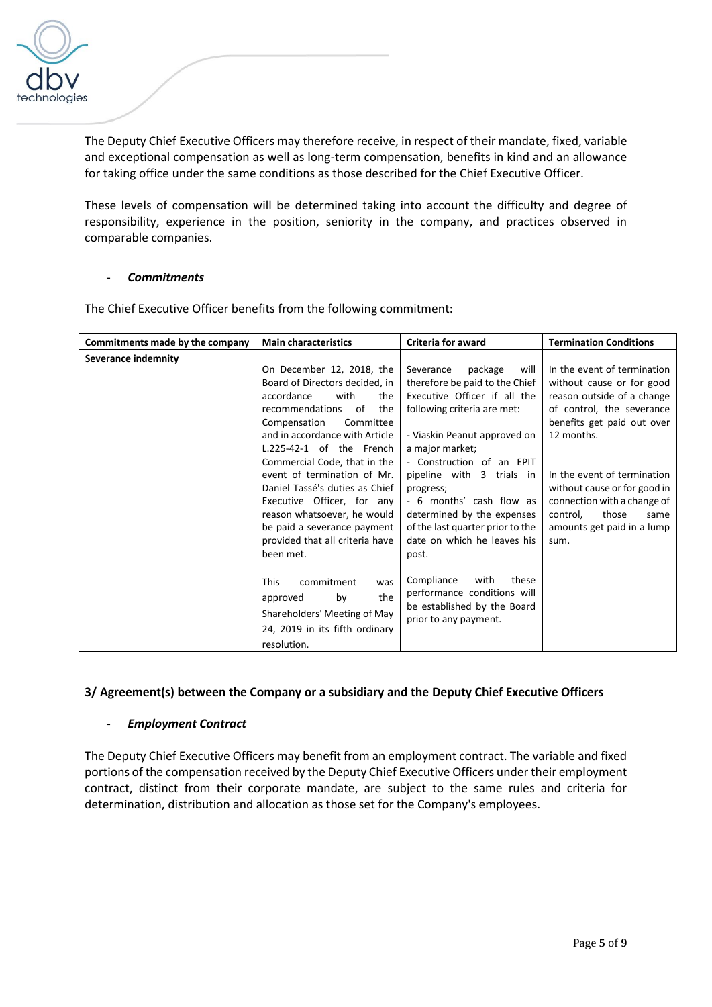

The Deputy Chief Executive Officers may therefore receive, in respect of their mandate, fixed, variable and exceptional compensation as well as long-term compensation, benefits in kind and an allowance for taking office under the same conditions as those described for the Chief Executive Officer.

These levels of compensation will be determined taking into account the difficulty and degree of responsibility, experience in the position, seniority in the company, and practices observed in comparable companies.

#### - *Commitments*

| Commitments made by the company | <b>Main characteristics</b>                                                                                                                                                                                                                                                                                                                                                                                                                                      | <b>Criteria for award</b>                                                                                                                                                                                                                                                                                                                                                                     | <b>Termination Conditions</b>                                                                                                                                                                                                                                                                                                    |
|---------------------------------|------------------------------------------------------------------------------------------------------------------------------------------------------------------------------------------------------------------------------------------------------------------------------------------------------------------------------------------------------------------------------------------------------------------------------------------------------------------|-----------------------------------------------------------------------------------------------------------------------------------------------------------------------------------------------------------------------------------------------------------------------------------------------------------------------------------------------------------------------------------------------|----------------------------------------------------------------------------------------------------------------------------------------------------------------------------------------------------------------------------------------------------------------------------------------------------------------------------------|
| Severance indemnity             | On December 12, 2018, the<br>Board of Directors decided, in<br>accordance<br>with<br>the<br>of<br>the<br>recommendations<br>Compensation<br>Committee<br>and in accordance with Article<br>L.225-42-1 of the French<br>Commercial Code, that in the<br>event of termination of Mr.<br>Daniel Tassé's duties as Chief<br>Executive Officer, for any<br>reason whatsoever, he would<br>be paid a severance payment<br>provided that all criteria have<br>been met. | package<br>Severance<br>will<br>therefore be paid to the Chief<br>Executive Officer if all the<br>following criteria are met:<br>- Viaskin Peanut approved on<br>a major market;<br>- Construction of an EPIT<br>pipeline with 3 trials in<br>progress;<br>- 6 months' cash flow as<br>determined by the expenses<br>of the last quarter prior to the<br>date on which he leaves his<br>post. | In the event of termination<br>without cause or for good<br>reason outside of a change<br>of control, the severance<br>benefits get paid out over<br>12 months.<br>In the event of termination<br>without cause or for good in<br>connection with a change of<br>control,<br>those<br>same<br>amounts get paid in a lump<br>sum. |
|                                 | <b>This</b><br>commitment<br>was<br>the<br>by<br>approved<br>Shareholders' Meeting of May<br>24, 2019 in its fifth ordinary<br>resolution.                                                                                                                                                                                                                                                                                                                       | Compliance<br>these<br>with<br>performance conditions will<br>be established by the Board<br>prior to any payment.                                                                                                                                                                                                                                                                            |                                                                                                                                                                                                                                                                                                                                  |

The Chief Executive Officer benefits from the following commitment:

## **3/ Agreement(s) between the Company or a subsidiary and the Deputy Chief Executive Officers**

#### - *Employment Contract*

The Deputy Chief Executive Officers may benefit from an employment contract. The variable and fixed portions of the compensation received by the Deputy Chief Executive Officers under their employment contract, distinct from their corporate mandate, are subject to the same rules and criteria for determination, distribution and allocation as those set for the Company's employees.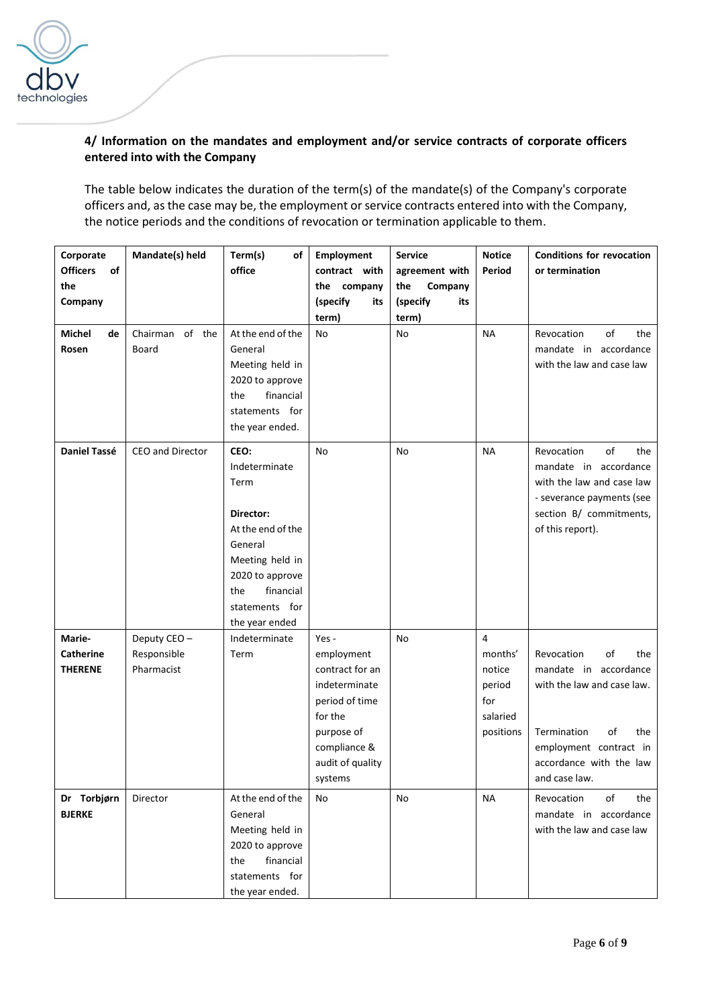

## **4/ Information on the mandates and employment and/or service contracts of corporate officers entered into with the Company**

The table below indicates the duration of the term(s) of the mandate(s) of the Company's corporate officers and, as the case may be, the employment or service contracts entered into with the Company, the notice periods and the conditions of revocation or termination applicable to them.

| Corporate<br><b>Officers</b><br>of<br>the<br>Company | Mandate(s) held                          | Term(s)<br>οf<br>office                                                                                                                                                  | <b>Employment</b><br>contract with<br>the company<br>(specify<br>its<br>term)                                                                       | <b>Service</b><br>agreement with<br>the<br>Company<br>(specify<br>its<br>term) | <b>Notice</b><br>Period                                                                | Conditions for revocation<br>or termination                                                                                                                                      |
|------------------------------------------------------|------------------------------------------|--------------------------------------------------------------------------------------------------------------------------------------------------------------------------|-----------------------------------------------------------------------------------------------------------------------------------------------------|--------------------------------------------------------------------------------|----------------------------------------------------------------------------------------|----------------------------------------------------------------------------------------------------------------------------------------------------------------------------------|
| Michel<br>de<br>Rosen                                | of the<br>Chairman<br>Board              | At the end of the<br>General<br>Meeting held in<br>2020 to approve<br>financial<br>the<br>statements for<br>the year ended.                                              | No                                                                                                                                                  | No                                                                             | <b>NA</b>                                                                              | of<br>Revocation<br>the<br>mandate in accordance<br>with the law and case law                                                                                                    |
| <b>Daniel Tassé</b>                                  | CEO and Director                         | CEO:<br>Indeterminate<br>Term<br>Director:<br>At the end of the<br>General<br>Meeting held in<br>2020 to approve<br>financial<br>the<br>statements for<br>the year ended | No                                                                                                                                                  | No                                                                             | <b>NA</b>                                                                              | of<br>Revocation<br>the<br>mandate in accordance<br>with the law and case law<br>- severance payments (see<br>section B/ commitments,<br>of this report).                        |
| Marie-<br><b>Catherine</b><br><b>THERENE</b>         | Deputy CEO-<br>Responsible<br>Pharmacist | Indeterminate<br>Term                                                                                                                                                    | $Yes -$<br>employment<br>contract for an<br>indeterminate<br>period of time<br>for the<br>purpose of<br>compliance &<br>audit of quality<br>systems | <b>No</b>                                                                      | $\overline{\mathbf{4}}$<br>months'<br>notice<br>period<br>for<br>salaried<br>positions | Revocation<br>οf<br>the<br>mandate in accordance<br>with the law and case law.<br>of<br>Termination<br>the<br>employment contract in<br>accordance with the law<br>and case law. |
| Dr Torbjørn<br><b>BJERKE</b>                         | Director                                 | At the end of the<br>General<br>Meeting held in<br>2020 to approve<br>financial<br>the<br>statements for<br>the year ended.                                              | No                                                                                                                                                  | No                                                                             | NА                                                                                     | of<br>Revocation<br>the<br>mandate in accordance<br>with the law and case law                                                                                                    |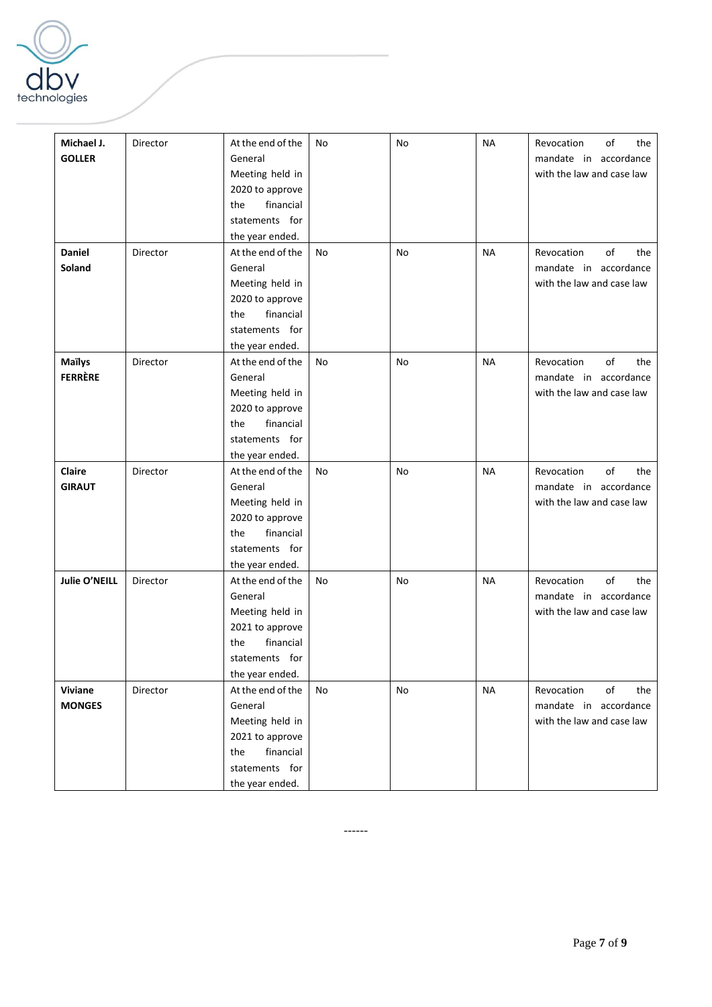

| At the end of the<br>No<br><b>NA</b><br>Michael J.<br>Director<br>No<br>Revocation<br>of<br><b>GOLLER</b><br>General<br>mandate in accordance<br>with the law and case law<br>Meeting held in<br>2020 to approve<br>financial<br>the | the<br>the |
|--------------------------------------------------------------------------------------------------------------------------------------------------------------------------------------------------------------------------------------|------------|
|                                                                                                                                                                                                                                      |            |
|                                                                                                                                                                                                                                      |            |
|                                                                                                                                                                                                                                      |            |
|                                                                                                                                                                                                                                      |            |
|                                                                                                                                                                                                                                      |            |
| statements for                                                                                                                                                                                                                       |            |
| the year ended.                                                                                                                                                                                                                      |            |
| <b>NA</b><br>of<br>Daniel<br>Director<br>At the end of the<br>No.<br>No<br>Revocation                                                                                                                                                |            |
| Soland<br>General<br>mandate in accordance                                                                                                                                                                                           |            |
| with the law and case law<br>Meeting held in                                                                                                                                                                                         |            |
| 2020 to approve                                                                                                                                                                                                                      |            |
| financial<br>the                                                                                                                                                                                                                     |            |
| statements for                                                                                                                                                                                                                       |            |
| the year ended.                                                                                                                                                                                                                      |            |
| <b>NA</b><br>of<br><b>Maïlys</b><br>Director<br>At the end of the<br>No.<br>No<br>Revocation                                                                                                                                         | the        |
| <b>FERRÈRE</b><br>General<br>mandate in accordance                                                                                                                                                                                   |            |
| with the law and case law<br>Meeting held in                                                                                                                                                                                         |            |
| 2020 to approve                                                                                                                                                                                                                      |            |
| the<br>financial                                                                                                                                                                                                                     |            |
| statements for                                                                                                                                                                                                                       |            |
| the year ended.                                                                                                                                                                                                                      |            |
| of<br>Claire<br>Director<br>At the end of the<br>No.<br>No<br><b>NA</b><br>Revocation                                                                                                                                                | the        |
| <b>GIRAUT</b><br>General<br>mandate in accordance                                                                                                                                                                                    |            |
| with the law and case law<br>Meeting held in                                                                                                                                                                                         |            |
| 2020 to approve                                                                                                                                                                                                                      |            |
| financial<br>the                                                                                                                                                                                                                     |            |
| statements for                                                                                                                                                                                                                       |            |
| the year ended.                                                                                                                                                                                                                      |            |
| Julie O'NEILL<br>of<br>Director<br>At the end of the<br>No.<br>No<br><b>NA</b><br>Revocation                                                                                                                                         | the        |
| General<br>mandate in accordance                                                                                                                                                                                                     |            |
| with the law and case law<br>Meeting held in                                                                                                                                                                                         |            |
| 2021 to approve                                                                                                                                                                                                                      |            |
| financial<br>the                                                                                                                                                                                                                     |            |
| statements for                                                                                                                                                                                                                       |            |
| the year ended.                                                                                                                                                                                                                      |            |
| At the end of the<br><b>NA</b><br>Revocation<br>of<br>Viviane<br>Director<br>No.<br>No                                                                                                                                               | the        |
| General<br>mandate in accordance<br><b>MONGES</b>                                                                                                                                                                                    |            |
| Meeting held in<br>with the law and case law                                                                                                                                                                                         |            |
| 2021 to approve                                                                                                                                                                                                                      |            |
| financial<br>the                                                                                                                                                                                                                     |            |
| statements for                                                                                                                                                                                                                       |            |
|                                                                                                                                                                                                                                      |            |
| the year ended.                                                                                                                                                                                                                      |            |

------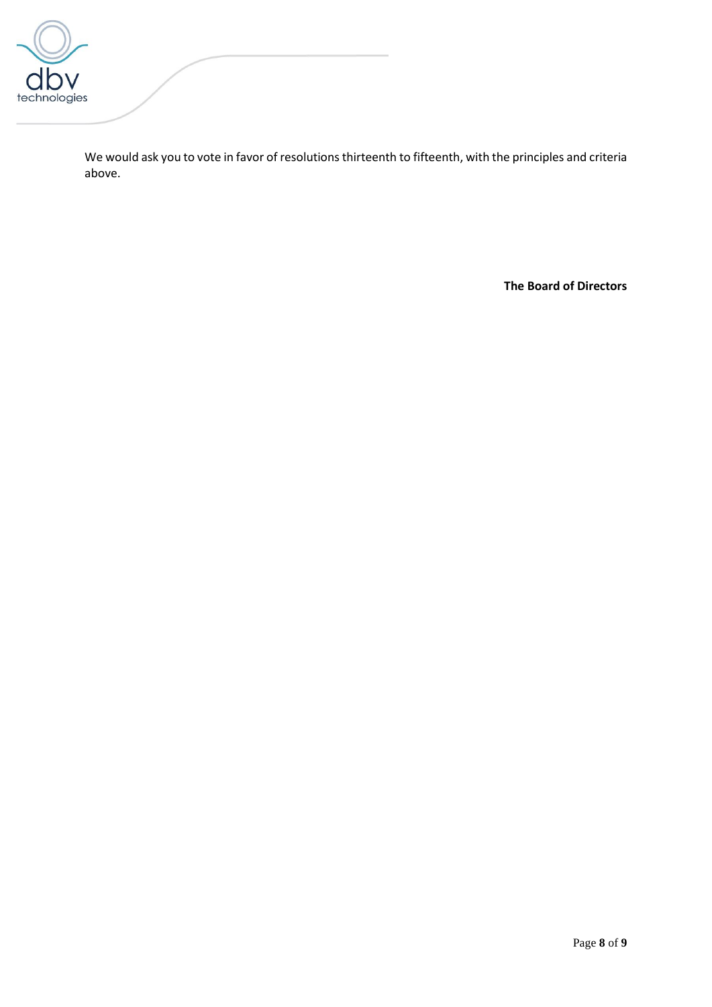

We would ask you to vote in favor of resolutions thirteenth to fifteenth, with the principles and criteria above.

**The Board of Directors**